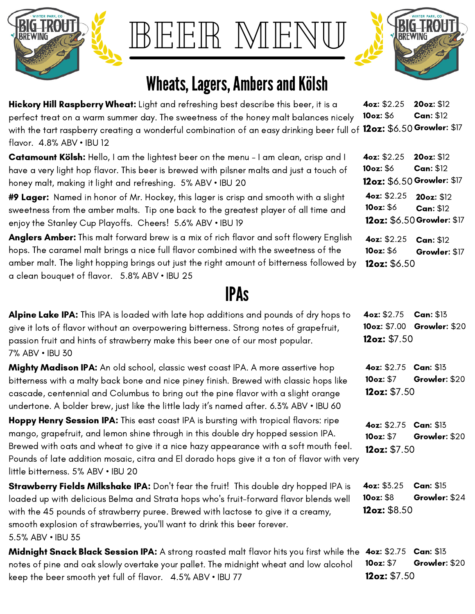

BEEFIK M

## Wheats, Lagers, Ambers and Kölsh

Hickory Hill Raspberry Wheat: Light and refreshing best describe this beer, it is a perfect treat on a warm summer day. The sweetness of the honey malt balances nicely with the tart raspberry creating a wonderful combination of an easy drinking beer full of 12oz: \$6.50 Growler: \$17 flavor. 4.8% ABV • IBU 12 4oz: \$2.25 10oz: \$6 20oz: \$12 Can: \$12

**Catamount Kölsh:** Hello, I am the lightest beer on the menu – I am clean, crisp and I have a very light hop flavor. This beer is brewed with pilsner malts and just a touch of honey malt, making it light and refreshing. 5% ABV • IBU 20

#9 Lager: Named in honor of Mr. Hockey, this lager is crisp and smooth with a slight sweetness from the amber malts. Tip one back to the greatest player of all time and enjoy the Stanley Cup Playoffs. Cheers! 5.6% ABV • IBU 19

Anglers Amber: This malt forward brew is a mix of rich flavor and soft flowery English hops. The caramel malt brings a nice full flavor combined with the sweetness of the amber malt. The light hopping brings out just the right amount of bitterness followed by a clean bouquet of flavor. 5.8% ABV • IBU 25

## IPAs

| Alpine Lake IPA: This IPA is loaded with late hop additions and pounds of dry hops to<br>give it lots of flavor without an overpowering bitterness. Strong notes of grapefruit,<br>passion fruit and hints of strawberry make this beer one of our most popular.<br>7% ABV • IBU 30                                                                                                                   | 4oz: \$2.75<br>12oz: \$7.50                                | Can: \$13<br>10oz: \$7.00 Growler: \$20 |
|-------------------------------------------------------------------------------------------------------------------------------------------------------------------------------------------------------------------------------------------------------------------------------------------------------------------------------------------------------------------------------------------------------|------------------------------------------------------------|-----------------------------------------|
| Mighty Madison IPA: An old school, classic west coast IPA. A more assertive hop<br>bitterness with a malty back bone and nice piney finish. Brewed with classic hops like<br>cascade, centennial and Columbus to bring out the pine flavor with a slight orange<br>undertone. A bolder brew, just like the little lady it's named after. 6.3% ABV • IBU 60                                            | <b>4oz: \$2.75 Can: \$13</b><br>10oz: \$7<br>12oz: $$7.50$ | Growler: \$20                           |
| Hoppy Henry Session IPA: This east coast IPA is bursting with tropical flavors: ripe<br>mango, grapefruit, and lemon shine through in this double dry hopped session IPA.<br>Brewed with oats and wheat to give it a nice hazy appearance with a soft mouth feel.<br>Pounds of late addition mosaic, citra and El dorado hops give it a ton of flavor with very<br>little bitterness. 5% ABV . IBU 20 | <b>4oz: \$2.75 Can: \$13</b><br>10oz: \$7<br>12oz: \$7.50  | Growler: \$20                           |
| Strawberry Fields Milkshake IPA: Don't fear the fruit! This double dry hopped IPA is<br>loaded up with delicious Belma and Strata hops who's fruit-forward flavor blends well<br>with the 45 pounds of strawberry puree. Brewed with lactose to give it a creamy,<br>smooth explosion of strawberries, you'll want to drink this beer forever.<br>5.5% ABV • IBU 35                                   | 4oz: \$3.25<br>10oz: \$8<br>12oz: $$8.50$                  | <b>Can: \$15</b><br>Growler: \$24       |

Midnight Snack Black Session IPA: A strong roasted malt flavor hits you first while the 4oz: \$2.75 Can: \$13 notes of pine and oak slowly overtake your pallet. The midnight wheat and low alcohol keep the beer smooth yet full of flavor. 4.5% ABV • IBU 77 10oz: \$7 12oz: \$7.50 Growler: \$20



4oz: \$2.25 10oz: \$6 12oz: \$6.50 Growler: \$17 20oz: \$12 Can: \$12 4oz: \$2.25 10oz: \$6 12oz: \$6.50 Growler: \$17 20oz: \$12 Can: \$12

4oz: \$2.25 10oz: \$6 12oz: \$6.50 Can: \$12 Growler: \$17